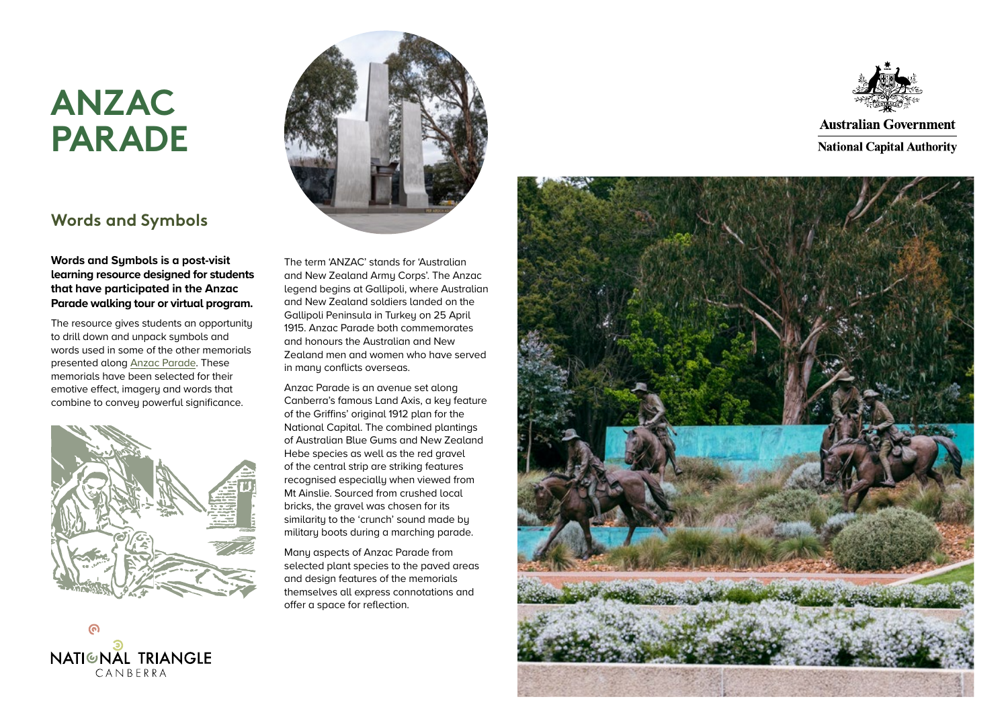## **ANZAC PARADE**

## **Words and Symbols**

### **Words and Symbols is a post-visit learning resource designed for students that have participated in the Anzac Parade walking tour or virtual program.**

The resource gives students an opportunity to drill down and unpack symbols and words used in some of the other memorials presented along [Anzac Parade.](https://www.nca.gov.au/attractions/anzac-parade) These memorials have been selected for their emotive effect, imagery and words that combine to convey powerful significance.



**D**<br>NATIGNAL TRIANGLE  $CANREPRA$ 



The term 'ANZAC' stands for 'Australian and New Zealand Army Corps'. The Anzac legend begins at Gallipoli, where Australian and New Zealand soldiers landed on the Gallipoli Peninsula in Turkey on 25 April 1915. Anzac Parade both commemorates and honours the Australian and New Zealand men and women who have served in manu conflicts overseas.

Anzac Parade is an avenue set along Canberra's famous Land Axis, a key feature of the Griffins' original 1912 plan for the National Capital. The combined plantings of Australian Blue Gums and New Zealand Hebe species as well as the red gravel of the central strip are striking features recognised especially when viewed from Mt Ainslie. Sourced from crushed local bricks, the gravel was chosen for its similarity to the 'crunch' sound made by military boots during a marching parade.

Many aspects of Anzac Parade from selected plant species to the paved areas and design features of the memorials themselves all express connotations and offer a space for reflection.